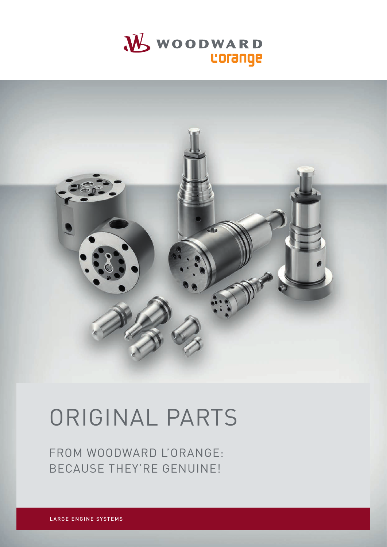



# ORIGINAL PARTS

FROM WOODWARD L'ORANGE: BECAUSE THEY'RE GENUINE!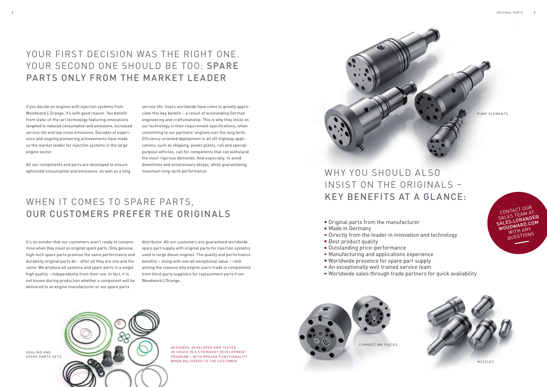ORIGINAL PARTS

## YOUR FIRST DECISION WAS THE RIGHT ONE. YOUR SECOND ONE SHOULD BE TOO: SPARE PARTS ONLY FROM THE MARKET LEADER

DE SIGNED, DE VELOPED AND TESTED IN-HOUSE IN A STRINGENT DEVELOPMENT PROGRAM - WITH PROVEN FUNCTIONALITY WHEN DELIVERED TO THE CUSTOMER.

- Original parts from the manufacturer
- **Made in Germany**
- Directly from the leader in innovation and technology
- Best product quality
- Outstanding price-performance
- Manufacturing and applications experience
- **Worldwide presence for spare part supply**
- An exceptionally well trained service team
- 
- 

#### WHY YOU SHOULD ALSO INSIST ON THE ORIGINALS – KEY BENEFITS AT A GLANCE:

Worldwide sales through trade partners for quick availability

If you decide on engines with injection systems from Woodward L'Orange, it's with good reason. You benefit from state-of-the-art technology featuring innovations targeted to reduced consumption and emissions, increased service life and low noise emissions. Decades of experience and ongoing pioneering achievements have made us the market leader for injection systems in the large engine sector.

All our components and parts are developed to ensure optimized consumption and emissions, as well as a long

SEALING AND SPARE PARTS SETS



service life. Users worldwide have come to greatly appreciate this key benefit – a result of outstanding German engineering and craftsmanship. This is why they insist on our technology in their requirement specifications, when committing to our partners' engines over the long term. Efficiency-oriented deployment in all off-highway applications, such as shipping, power plants, rail and specialpurpose vehicles, call for components that can withstand the most rigorous demands. And especially, to avoid downtimes and unnecessary delays, while guaranteeing maximum long-term performance.

### WHEN IT COMES TO SPARE PARTS, OUR CUSTOMERS PREFER THE ORIGINALS

It's no wonder that our customers aren't ready to compromise when they insist on original spare parts. Only genuine, high-tech spare parts promise the same performance and durability original parts do – after all they are one and the same. We produce all systems and spare parts in a single high quality – independently from their use. In fact, it is not known during production whether a component will be delivered to an engine manufacturer or our spare parts

distributor. All our customers are guaranteed worldwide spare part supply with original parts for injection systems used in large diesel engines. The quality and performance benefits – along with overall exceptional value – rank among the reasons why engine users trade in components from third-party suppliers for replacement parts from Woodward L'Orange.